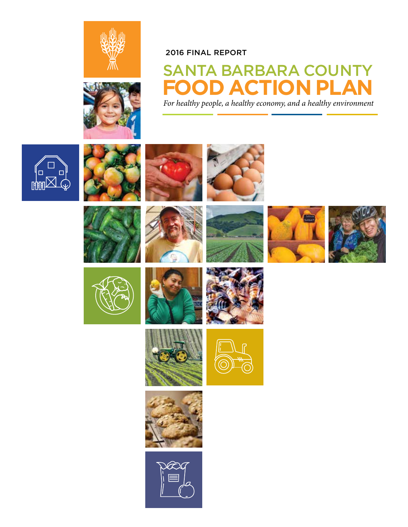



#### 2016 FINAL REPORT

## SANTA BARBARA COUNTY **OD ACTION PLA** *For healthy people, a healthy economy, and a healthy environment*

 $\Box$  $\Box$ **DOBBI** 





















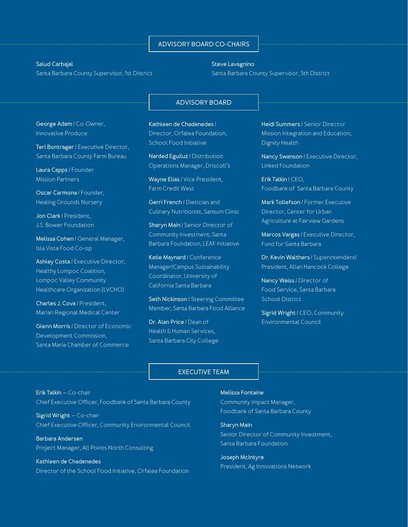#### **ADVISORY BOARD CO-CHAIRS**

#### **Salud Carbajal**

**George Adam** / Co-Owner, Innovative Produce

**Laura Capps** / Founder Mission Partners

**Jon Clark** / President, J.S. Bower Foundation

Isla Vista Food Co-op

Healthy Lompoc Coalition, Lompoc Valley Community Healthcare Organization (LVCHO)

**Charles J. Cova** / President, Marian Regional Medical Center

Development Commission,

**Oscar Carmona** / Founder, Healing Grounds Nursery

**Melissa Cohen** / General Manager,

**Ashley Costa** / Executive Director,

**Glenn Morris** / Director of Economic

Santa Maria Chamber of Commerce

**Teri Bontrager** / Executive Director, Santa Barbara County Farm Bureau

Santa Barbara County Supervisor, 1st District

#### **Steve Lavagnino** Santa Barbara County Supervisor, 5th District

#### **ADVISORY BOARD**

**Kathleen de Chadenedes** / Director, Orfalea Foundation, School Food Initiative

> **Narded Eguiluz** / Distribution Operations Manager, Driscoll's

**Wayne Elias** / Vice President, Farm Credit West

**Gerri French** / Dietician and Culinary Nutritionist, Sansum Clinic

**Sharyn Main** / Senior Director of Community Investment, Santa Barbara Foundation, LEAF Initiative

**Katie Maynard** / Conference Manager/Campus Sustainability Coordinator, University of California Santa Barbara

**Seth Nickinson** / Steering Committee Member, Santa Barbara Food Alliance

**Dr. Alan Price** / Dean of Health & Human Services, Santa Barbara City College **Heidi Summers** / Senior Director Mission Integration and Education, Dignity Health

**Nancy Swanson** / Executive Director, Linked Foundation

**Erik Talkin** / CEO, Foodbank of Santa Barbara County

**Mark Tollefson** / Former Executive Director, Center for Urban Agriculture at Fairview Gardens

**Marcos Vargas** / Executive Director, Fund for Santa Barbara

**Dr. Kevin Walthers** / Superintendent/ President, Allan Hancock College

**Nancy Weiss** / Director of Food Service, Santa Barbara School District

**Sigrid Wright** / CEO, Community Environmental Council

#### **EXECUTIVE TEAM**

**Erik Talkin** — Co-chair Chief Executive Officer, Foodbank of Santa Barbara County

**Sigrid Wright** — Co-chair Chief Executive Officer, Community Environmental Council

**Barbara Andersen** Project Manager, All Points North Consulting

**Kathleen de Chadenedes** Director of the School Food Initiative, Orfalea Foundation

#### **Melissa Fontaine**

Community Impact Manager, Foodbank of Santa Barbara County

**Sharyn Main**

Senior Director of Community Investment, Santa Barbara Foundation

**Joseph McIntyre** President, Ag Innovations Network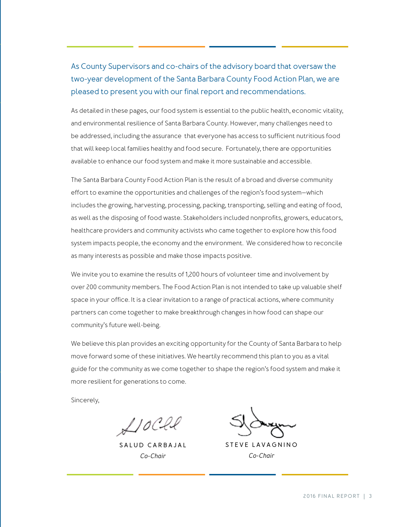#### As County Supervisors and co-chairs of the advisory board that oversaw the two-year development of the Santa Barbara County Food Action Plan, we are pleased to present you with our final report and recommendations.

As detailed in these pages, our food system is essential to the public health, economic vitality, and environmental resilience of Santa Barbara County. However, many challenges need to be addressed, including the assurance that everyone has access to sufficient nutritious food that will keep local families healthy and food secure. Fortunately, there are opportunities available to enhance our food system and make it more sustainable and accessible.

The Santa Barbara County Food Action Plan is the result of a broad and diverse community effort to examine the opportunities and challenges of the region's food system—which includes the growing, harvesting, processing, packing, transporting, selling and eating of food, as well as the disposing of food waste. Stakeholders included nonprofits, growers, educators, healthcare providers and community activists who came together to explore how this food system impacts people, the economy and the environment. We considered how to reconcile as many interests as possible and make those impacts positive.

We invite you to examine the results of 1,200 hours of volunteer time and involvement by over 200 community members. The Food Action Plan is not intended to take up valuable shelf space in your office. It is a clear invitation to a range of practical actions, where community partners can come together to make breakthrough changes in how food can shape our community's future well-being.

We believe this plan provides an exciting opportunity for the County of Santa Barbara to help move forward some of these initiatives. We heartily recommend this plan to you as a vital guide for the community as we come together to shape the region's food system and make it more resilient for generations to come.

Sincerely,

 $L$ 10Cll

**S A L U D C A R B A J A L**  *Co-Chair*

**STEVE LAVAGNINO** *Co-Chair*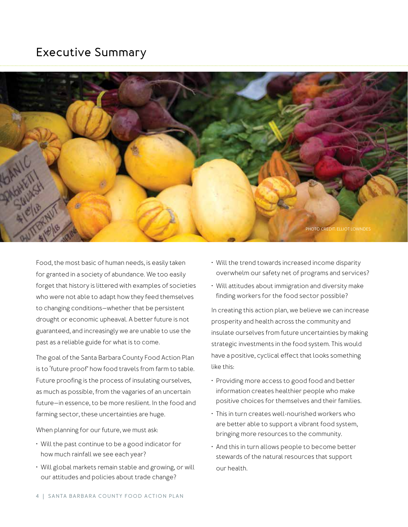#### **Executive Summary**



Food, the most basic of human needs, is easily taken for granted in a society of abundance. We too easily forget that history is littered with examples of societies who were not able to adapt how they feed themselves to changing conditions—whether that be persistent drought or economic upheaval. A better future is not guaranteed, and increasingly we are unable to use the past as a reliable guide for what is to come.

The goal of the Santa Barbara County Food Action Plan is to 'future proof' how food travels from farm to table. Future proofing is the process of insulating ourselves, as much as possible, from the vagaries of an uncertain future—in essence, to be more resilient. In the food and farming sector, these uncertainties are huge.

When planning for our future, we must ask:

- Will the past continue to be a good indicator for how much rainfall we see each year?
- Will global markets remain stable and growing, or will our attitudes and policies about trade change?
- Will the trend towards increased income disparity overwhelm our safety net of programs and services?
- Will attitudes about immigration and diversity make finding workers for the food sector possible?

In creating this action plan, we believe we can increase prosperity and health across the community and insulate ourselves from future uncertainties by making strategic investments in the food system. This would have a positive, cyclical effect that looks something like this:

- Providing more access to good food and better information creates healthier people who make positive choices for themselves and their families.
- This in turn creates well-nourished workers who are better able to support a vibrant food system, bringing more resources to the community.
- And this in turn allows people to become better stewards of the natural resources that support our health.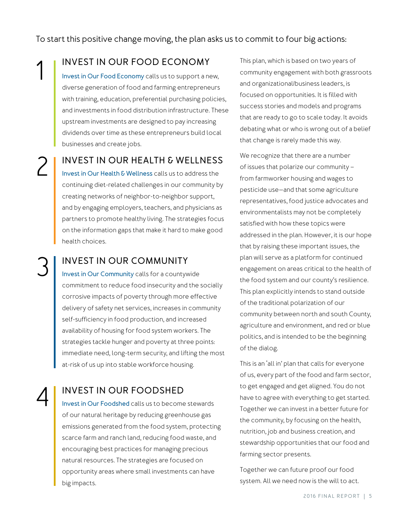To start this positive change moving, the plan asks us to commit to four big actions:

#### **INVEST IN OUR FOOD ECONOMY**

**Invest in Our Food Economy** calls us to support a new, diverse generation of food and farming entrepreneurs with training, education, preferential purchasing policies, and investments in food distribution infrastructure. These upstream investments are designed to pay increasing dividends over time as these entrepreneurs build local businesses and create jobs.

#### **INVEST IN OUR HEALTH & WELLNESS**

**Invest in Our Health & Wellness** calls us to address the continuing diet-related challenges in our community by creating networks of neighbor-to-neighbor support, and by engaging employers, teachers, and physicians as partners to promote healthy living. The strategies focus on the information gaps that make it hard to make good health choices.

#### **INVEST IN OUR COMMUNITY**

3

2

1

4

**Invest in Our Community** calls for a countywide commitment to reduce food insecurity and the socially corrosive impacts of poverty through more effective delivery of safety net services, increases in community self-sufficiency in food production, and increased availability of housing for food system workers. The strategies tackle hunger and poverty at three points: immediate need, long-term security, and lifting the most at-risk of us up into stable workforce housing.

#### **INVEST IN OUR FOODSHED**

**Invest in Our Foodshed** calls us to become stewards of our natural heritage by reducing greenhouse gas emissions generated from the food system, protecting scarce farm and ranch land, reducing food waste, and encouraging best practices for managing precious natural resources. The strategies are focused on opportunity areas where small investments can have big impacts.

This plan, which is based on two years of community engagement with both grassroots and organizational/business leaders, is focused on opportunities. It is filled with success stories and models and programs that are ready to go to scale today. It avoids debating what or who is wrong out of a belief that change is rarely made this way.

We recognize that there are a number of issues that polarize our community – from farmworker housing and wages to pesticide use—and that some agriculture representatives, food justice advocates and environmentalists may not be completely satisfied with how these topics were addressed in the plan. However, it is our hope that by raising these important issues, the plan will serve as a platform for continued engagement on areas critical to the health of the food system and our county's resilience. This plan explicitly intends to stand outside of the traditional polarization of our community between north and south County, agriculture and environment, and red or blue politics, and is intended to be the beginning of the dialog.

This is an 'all in' plan that calls for everyone of us, every part of the food and farm sector, to get engaged and get aligned. You do not have to agree with everything to get started. Together we can invest in a better future for the community, by focusing on the health, nutrition, job and business creation, and stewardship opportunities that our food and farming sector presents.

Together we can future proof our food system. All we need now is the will to act.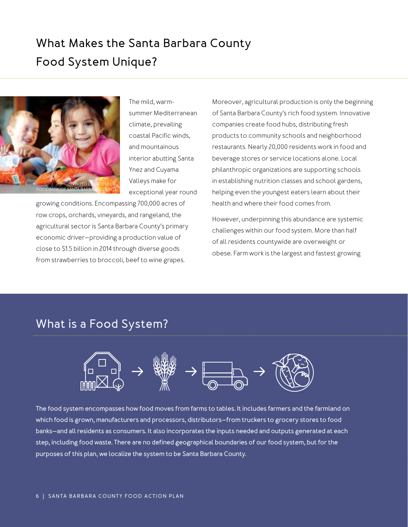## **What Makes the Santa Barbara County Food System Unique?**



The mild, warmsummer Mediterranean climate, prevailing coastal Pacific winds, and mountainous interior abutting Santa Ynez and Cuyama Valleys make for exceptional year round

growing conditions. Encompassing 700,000 acres of row crops, orchards, vineyards, and rangeland, the agricultural sector is Santa Barbara County's primary economic driver—providing a production value of close to \$1.5 billion in 2014 through diverse goods from strawberries to broccoli, beef to wine grapes.

Moreover, agricultural production is only the beginning of Santa Barbara County's rich food system. Innovative companies create food hubs, distributing fresh products to community schools and neighborhood restaurants. Nearly 20,000 residents work in food and beverage stores or service locations alone. Local philanthropic organizations are supporting schools in establishing nutrition classes and school gardens, helping even the youngest eaters learn about their health and where their food comes from.

However, underpinning this abundance are systemic challenges within our food system. More than half of all residents countywide are overweight or obese. Farm work is the largest and fastest growing

### **What is a Food System?**



**The food system encompasses how food moves from farms to tables. It includes farmers and the farmland on which food is grown, manufacturers and processors, distributors—from truckers to grocery stores to food banks—and all residents as consumers. It also incorporates the inputs needed and outputs generated at each step, including food waste. There are no defined geographical boundaries of our food system, but for the purposes of this plan, we localize the system to be Santa Barbara County.**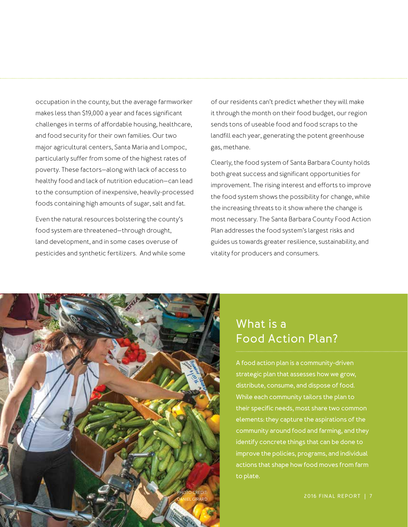occupation in the county, but the average farmworker makes less than \$19,000 a year and faces significant challenges in terms of affordable housing, healthcare, and food security for their own families. Our two major agricultural centers, Santa Maria and Lompoc, particularly suffer from some of the highest rates of poverty. These factors—along with lack of access to healthy food and lack of nutrition education—can lead to the consumption of inexpensive, heavily-processed foods containing high amounts of sugar, salt and fat.

Even the natural resources bolstering the county's food system are threatened—through drought, land development, and in some cases overuse of pesticides and synthetic fertilizers. And while some of our residents can't predict whether they will make it through the month on their food budget, our region sends tons of useable food and food scraps to the landfill each year, generating the potent greenhouse gas, methane.

Clearly, the food system of Santa Barbara County holds both great success and significant opportunities for improvement. The rising interest and efforts to improve the food system shows the possibility for change, while the increasing threats to it show where the change is most necessary. The Santa Barbara County Food Action Plan addresses the food system's largest risks and guides us towards greater resilience, sustainability, and vitality for producers and consumers.



## **What is a Food Action Plan?**

**A food action plan is a community-driven strategic plan that assesses how we grow, distribute, consume, and dispose of food. While each community tailors the plan to their specific needs, most share two common elements: they capture the aspirations of the community around food and farming, and they identify concrete things that can be done to improve the policies, programs, and individual actions that shape how food moves from farm to plate.**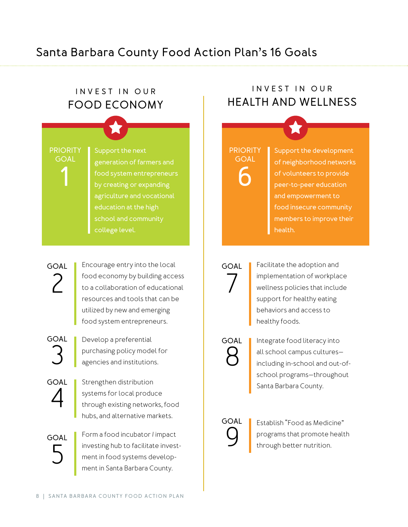## **Santa Barbara County Food Action Plan's 16 Goals**

#### **INVEST IN OUR FOOD ECONOMY**

**PRIORITY GOAL**

**1 6 food system entrepreneurs by creating or expanding Support the next generation of farmers and agriculture and vocational education at the high college level.**

## 2 **GOAL**

Encourage entry into the local food economy by building access to a collaboration of educational resources and tools that can be utilized by new and emerging food system entrepreneurs.

**GOAL**

Develop a preferential purchasing policy model for<br>agencies and institutions.

4 **GOAL** Strengthen distribution systems for local produce through existing networks, food hubs, and alternative markets.

5 **GOAL** Form a food incubator / impact investing hub to facilitate investment in food systems development in Santa Barbara County.

### **INVEST IN OUR HEALTH AND WELLNESS**

## **PRIORITY GOAL**

**Support the development of neighborhood networks of volunteers to provide peer-to-peer education and empowerment to food insecure community members to improve their health.**

Facilitate the adoption and implementation of workplace wellness policies that include support for healthy eating behaviors and access to **GOAL**

healthy foods.

8 **GOAL**

7

Integrate food literacy into all school campus cultures including in-school and out-ofschool programs—throughout Santa Barbara County.

# **GOAL**

Establish "Food as Medicine" programs that promote health<br>through better nutrition.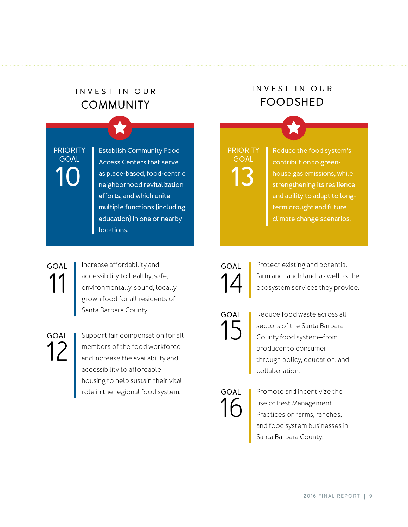## **INVEST IN OUR COMMUNITY**

**PRIORITY GOAL**

10 **as place-based, food-centric 13 Establish Community Food Access Centers that serve as place-based, food-centric efforts, and which unite multiple functions (including education) in one or nearby locations.**

## 11 **GOAL**

Increase affordability and accessibility to healthy, safe, environmentally-sound, locally grown food for all residents of Santa Barbara County.

12 **GOAL**

Support fair compensation for all members of the food workforce and increase the availability and accessibility to affordable housing to help sustain their vital role in the regional food system.

## **INVEST IN OUR FOODSHED**

**PRIORITY GOAL**

**Reduce the food system's contribution to greenhouse gas emissions, while strengthening its resilience and ability to adapt to longterm drought and future climate change scenarios.**



Protect existing and potential farm and ranch land, as well as the<br>ecosystem services they provide.

15 **GOAL**

Reduce food waste across all sectors of the Santa Barbara County food system—from producer to consumer through policy, education, and collaboration.

16 **GOAL** Promote and incentivize the use of Best Management Practices on farms, ranches, and food system businesses in Santa Barbara County.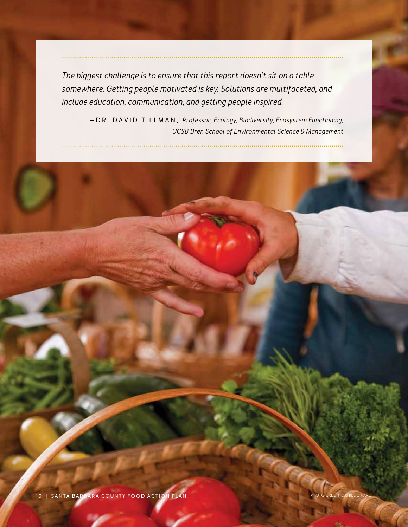*The biggest challenge is to ensure that this report doesn't sit on a table somewhere. Getting people motivated is key. Solutions are multifaceted, and include education, communication, and getting people inspired.*

> **—DR. DAVID TILLMAN,** *Professor, Ecology, Biodiversity, Ecosystem Functioning, UCSB Bren School of Environmental Science & Management*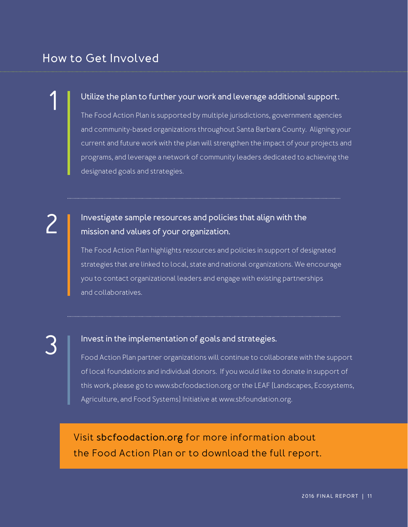## **How to Get Involved**

#### **Utilize the plan to further your work and leverage additional support.**

The Food Action Plan is supported by multiple jurisdictions, government agencies and community-based organizations throughout Santa Barbara County. Aligning your current and future work with the plan will strengthen the impact of your projects and programs, and leverage a network of community leaders dedicated to achieving the designated goals and strategies.

# 2

1

#### **Investigate sample resources and policies that align with the mission and values of your organization.**

The Food Action Plan highlights resources and policies in support of designated strategies that are linked to local, state and national organizations. We encourage you to contact organizational leaders and engage with existing partnerships and collaboratives.

3

#### **Invest in the implementation of goals and strategies.**

Food Action Plan partner organizations will continue to collaborate with the support of local foundations and individual donors. If you would like to donate in support of this work, please go to www.sbcfoodaction.org or the LEAF (Landscapes, Ecosystems, Agriculture, and Food Systems) Initiative at www.sbfoundation.org.

Visit **sbcfoodaction.org** for more information about the Food Action Plan or to download the full report.